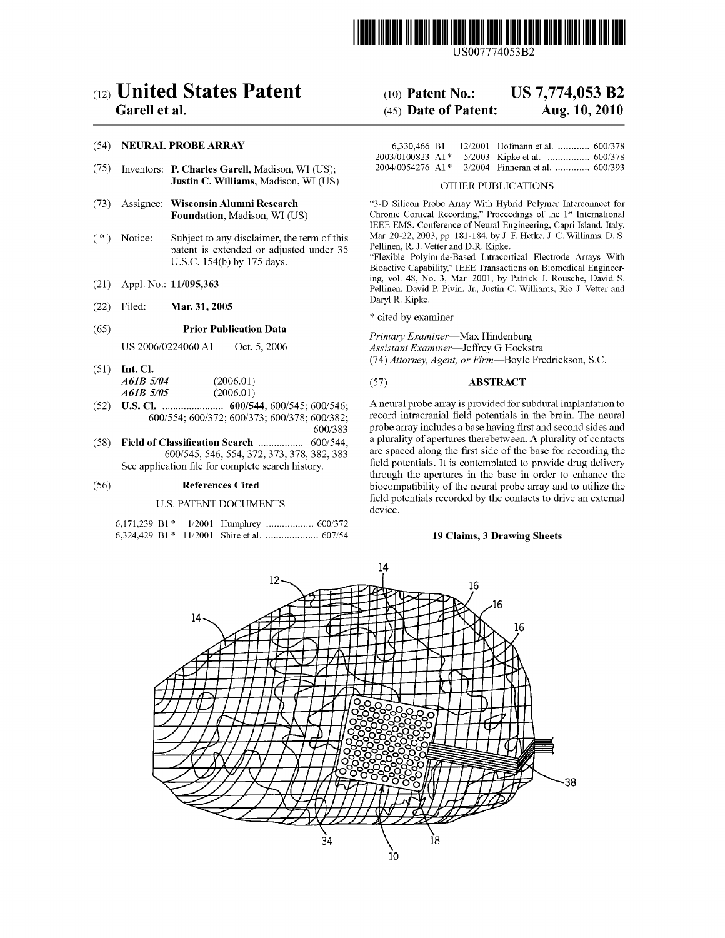

US007774053B2

# c12) **United States Patent**

# **Garell et al.**

## (54) **NEURAL PROBE ARRAY**

- (75) Inventors: **P. Charles Garell,** Madison, WI (US); **Justin C. Williams,** Madison, WI (US)
- (73) Assignee: **Wisconsin Alumni Research Foundation,** Madison, WI (US)
- $(*)$  Notice: Subject to any disclaimer, the term of this patent is extended or adjusted under 35 U.S.C. 154(b) by 175 days.
- (21) Appl. No.: **11/095,363**
- (22) Filed: **Mar. 31, 2005**

#### (65) **Prior Publication Data**

US 2006/0224060 A1 Oct. 5, 2006

- (51) **Int. Cl.**  *A61B 5104* (2006.01) *A61B 5105* (2006.01)
- (52) **U.S. Cl.** ....................... **600/544;** 600/545; 600/546; 600/554; 600/372; 600/373; 600/378; 600/382; 600/383
- (58) **Field of Classification Search** ................. 600/544, 600/545, 546,554,372,373,378,382,383 See application file for complete search history.

#### (56) **References Cited**

#### U.S. PATENT DOCUMENTS

#### (IO) **Patent No.:**  (45) **Date of Patent: US 7,774,053 B2 Aug. 10, 2010**

|                                            |  | 6.330.466 B1 12/2001 Hofmann et al.  600/378 |  |
|--------------------------------------------|--|----------------------------------------------|--|
| $2003/0100823$ A <sub>1</sub> <sup>*</sup> |  |                                              |  |
| $2004/0054276$ A1 <sup>*</sup>             |  | 3/2004 Finneran et al.  600/393              |  |

#### OTHER PUBLICATIONS

"3-D Silicon Probe Array With Hybrid Polymer Interconnect for Chronic Cortical Recording," Proceedings of the 1st International IEEE EMS, Conference of Neural Engineering, Capri Island, Italy, Mar. 20-22, 2003, pp. 181-184, by J. F. Hetke, J.C. Williams, D.S. Pellinen, R. J. Vetter and D.R. Kipke.

"Flexible Polyimide-Based Intracortical Electrode Arrays With Bioactive Capability," IEEE Transactions on Biomedical Engineering, vol. 48, No. 3, Mar. 2001, by Patrick J. Rousche, David S. Pellinen, David P. Pivin, Jr., Justin C. Williams, Rio J. Vetter and Daryl R. Kipke.

\* cited by examiner

*Primary Examiner-Max* Hindenburg *Assistant Examiner-Jeffrey* G Hoekstra (74) *Attorney, Agent, or Firm-Boyle* Fredrickson, S.C.

#### (57) **ABSTRACT**

A neural probe array is provided for subdural implantation to record intracranial field potentials in the brain. The neural probe array includes a base having first and second sides and a plurality of apertures therebetween. A plurality of contacts are spaced along the first side of the base for recording the field potentials. It is contemplated to provide drug delivery through the apertures in the base in order to enhance the biocompatibility of the neural probe array and to utilize the field potentials recorded by the contacts to drive an external device.

#### **19 Claims, 3 Drawing Sheets**

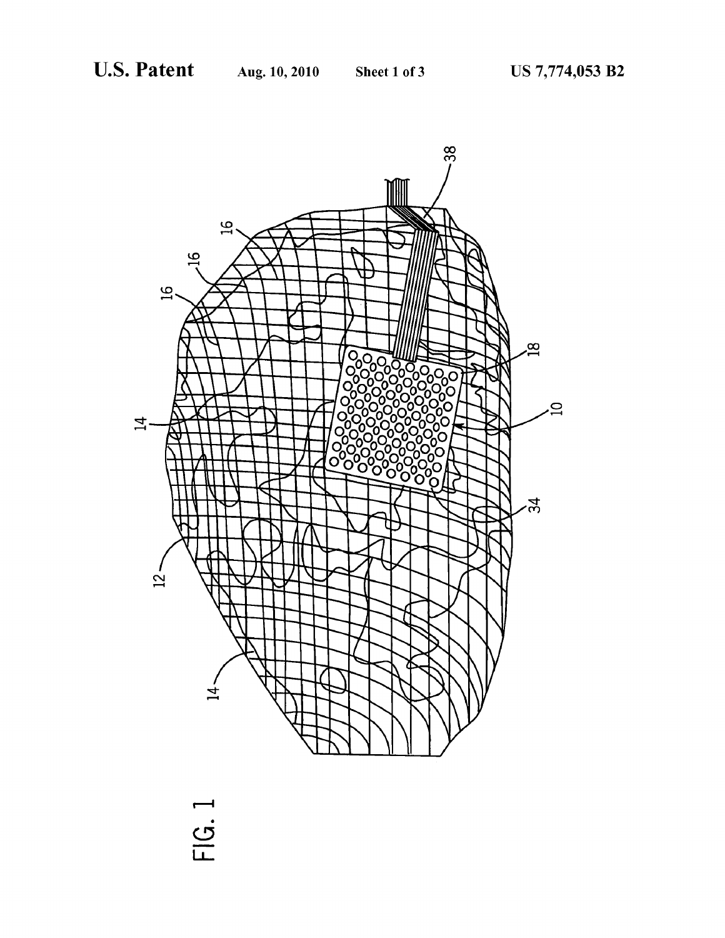

• **C,**  LL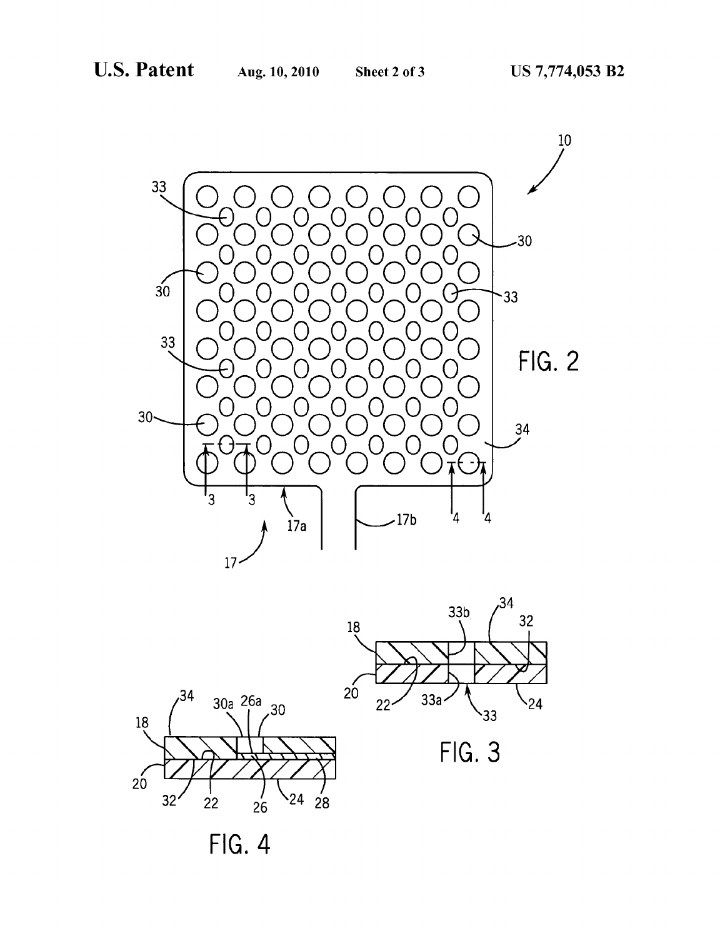



 $FIG. 4$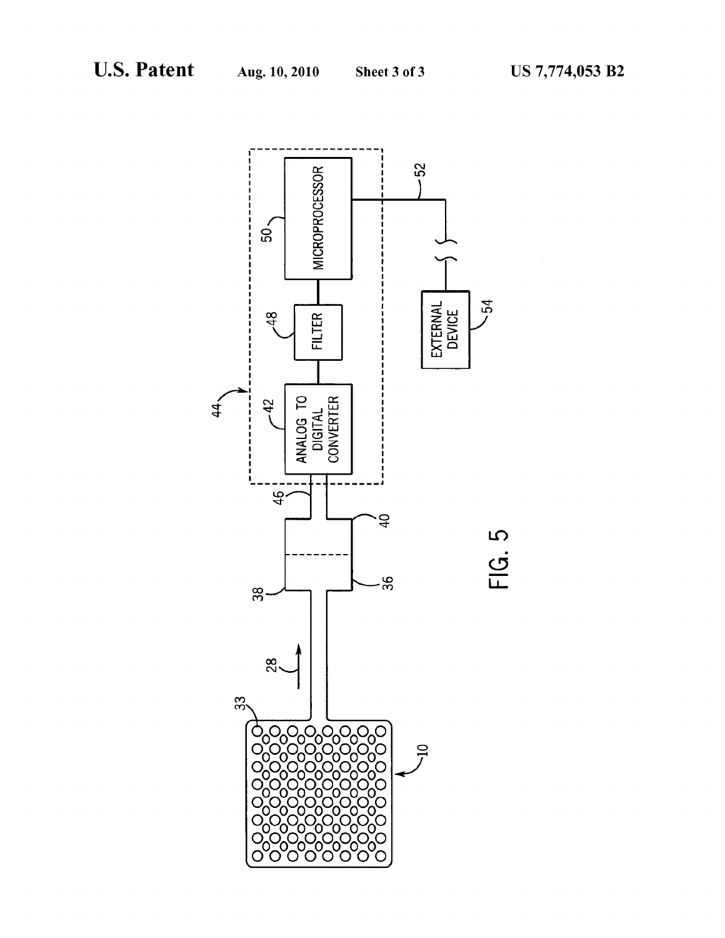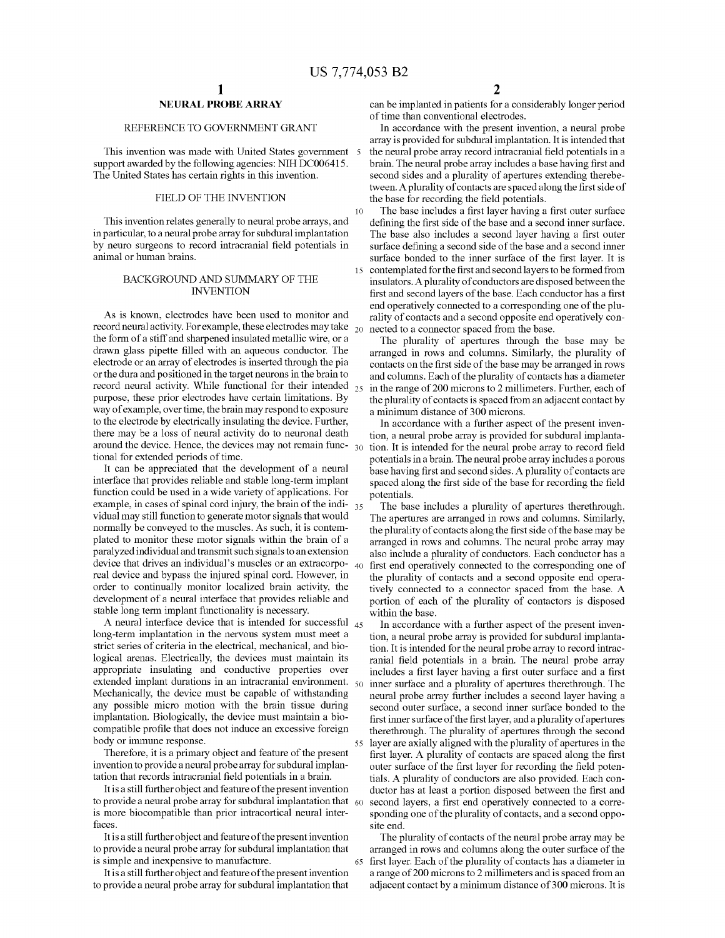10

# **NEURAL PROBE ARRAY**

## REFERENCE TO GOVERNMENT GRANT

This invention was made with United States government support awarded by the following agencies: NIH DC006415. The United States has certain rights in this invention.

#### FIELD OF THE INVENTION

This invention relates generally to neural probe arrays, and in particular, to a neural probe array for subdural implantation by neuro surgeons to record intracranial field potentials in animal or human brains.

#### BACKGROUND AND SUMMARY OF THE INVENTION

As is known, electrodes have been used to monitor and record neural activity. For example, these electrodes may take the form of a stiff and sharpened insulated metallic wire, or a drawn glass pipette filled with an aqueous conductor. The electrode or an array of electrodes is inserted through the pia or the dura and positioned in the target neurons in the brain to record neural activity. While functional for their intended purpose, these prior electrodes have certain limitations. By way of example, over time, the brain may respond to exposure to the electrode by electrically insulating the device. Further, there may be a loss of neural activity do to neuronal death around the device. Hence, the devices may not remain func- $_{30}$ tional for extended periods of time.

It can be appreciated that the development of a neural interface that provides reliable and stable long-term implant function could be used in a wide variety of applications. For example, in cases of spinal cord injury, the brain of the indi-  $35$ vidual may still function to generate motor signals that would normally be conveyed to the muscles. As such, it is contemplated to monitor these motor signals within the brain of a paralyzed individual and transmit such signals to an extension device that drives an individual's muscles or an extracorpo-40 first end operatively connected to the corresponding one of real device and bypass the injured spinal cord. However, in order to continually monitor localized brain activity, the development of a neural interface that provides reliable and stable long term implant functionality is necessary.

long-term implantation in the nervous system must meet a strict series of criteria in the electrical, mechanical, and biological arenas. Electrically, the devices must maintain its appropriate insulating and conductive properties over extended implant durations in an intracranial environment.  $\epsilon_{0}$ Mechanically, the device must be capable of withstanding any possible micro motion with the brain tissue during implantation. Biologically, the device must maintain a biocompatible profile that does not induce an excessive foreign body or immune response.

Therefore, it is a primary object and feature of the present invention to provide a neural probe array for subdural implantation that records intracranial field potentials in a brain.

It is a still further object and feature of the present invention to provide a neural probe array for subdural implantation that  $60$ is more biocompatible than prior intracortical neural interfaces.

It is a still furtherobject and feature of the present invention to provide a neural probe array for subdural implantation that is simple and inexpensive to manufacture.

It is a still further object and feature of the present invention to provide a neural probe array for subdural implantation that

can be implanted in patients for a considerably longer period of time than conventional electrodes.

In accordance with the present invention, a neural probe array is provided for subdural implantation. It is intended that the neural probe array record intracranial field potentials in a brain. The neural probe array includes a base having first and second sides and a plurality of apertures extending therebetween. A plurality of contacts are spaced along the first side of the base for recording the field potentials.

The base includes a first layer having a first outer surface defining the first side of the base and a second inner surface. The base also includes a second layer having a first outer surface defining a second side of the base and a second inner surface bonded to the inner surface of the first layer. It is 15 contemplated for the first and second layers to be formed from insulators. A plurality of conductors are disposed between the first and second layers of the base. Each conductor has a first end operatively connected to a corresponding one of the plurality of contacts and a second opposite end operatively connected to a connector spaced from the base.

The plurality of apertures through the base may be arranged in rows and columns. Similarly, the plurality of contacts on the first side of the base may be arranged in rows and columns. Each of the plurality of contacts has a diameter in the range of 200 microns to 2 millimeters. Further, each of the plurality of contacts is spaced from an adjacent contact by a minimum distance of 300 microns.

In accordance with a further aspect of the present invention, a neural probe array is provided for subdural implantation. It is intended for the neural probe array to record field potentials in a brain. The neural probe array includes a porous base having first and second sides. A plurality of contacts are spaced along the first side of the base for recording the field potentials.

The base includes a plurality of apertures therethrough. The apertures are arranged in rows and colunms. Similarly, the plurality of contacts along the first side of the base may be arranged in rows and colunms. The neural probe array may also include a plurality of conductors. Each conductor has a the plurality of contacts and a second opposite end operatively connected to a connector spaced from the base. A portion of each of the plurality of contactors is disposed within the base.

A neural interface device that is intended for successful  $_{45}$  In accordance with a further aspect of the present invention, a neural probe array is provided for subdural implantation. It is intended for the neural probe array to record intracranial field potentials in a brain. The neural probe array includes a first layer having a first outer surface and a first inner surface and a plurality of apertures therethrough. The neural probe array further includes a second layer having a second outer surface, a second inner surface bonded to the first inner surface of the first layer, and a plurality of apertures therethrough. The plurality of apertures through the second 55 layer are axially aligned with the plurality of apertures in the first layer. A plurality of contacts are spaced along the first outer surface of the first layer for recording the field potentials. A plurality of conductors are also provided. Each conductor has at least a portion disposed between the first and second layers, a first end operatively connected to a corresponding one of the plurality of contacts, and a second opposite end.

> The plurality of contacts of the neural probe array may be arranged in rows and columns along the outer surface of the 65 first layer. Each of the plurality of contacts has a diameter in a range of 200 microns to 2 millimeters and is spaced from an adjacent contact by a minimum distance of 300 microns. It is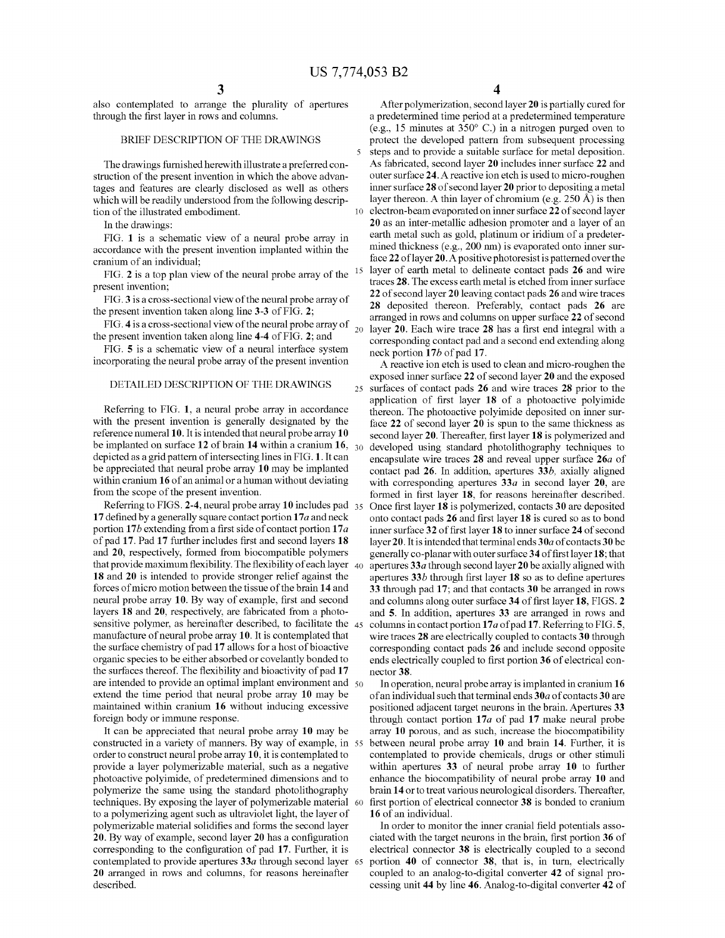also contemplated to arrange the plurality of apertures through the first layer in rows and colunms.

#### BRIEF DESCRIPTION OF THE DRAWINGS

The drawings furnished herewith illustrate a preferred construction of the present invention in which the above advantages and features are clearly disclosed as well as others which will be readily understood from the following description of the illustrated embodiment.

In the drawings:

FIG. **1** is a schematic view of a neural probe array in accordance with the present invention implanted within the cranium of an individual;

FIG. **2** is a top plan view of the neural probe array of the present invention;

FIG. **3** is a cross-sectional view of the neural probe array of the present invention taken along line **3-3** of FIG. **2;** 

FIG. **4** is a cross-sectional view of the neural probe array of 20 the present invention taken along line **4-4** of FIG. **2**; and

incorporating the neural probe array of the present invention

Referring to FIG. **1,** a neural probe array in accordance with the present invention is generally designated by the reference numeral 10. It is intended that neural probe array 10 be implanted on surface **12** of brain **14** within a cranium **16,**  depicted as a grid pattern of intersecting lines in FIG. **1.** It can be appreciated that neural probe array **10** may be implanted within cranium **16** of an animal or a human without deviating from the scope of the present invention.

Referring to FIGS. **2-4,** neural probe array **10** includes pad **17** defined by a generally square contact portion **17** *a* and neck portion **17** b extending from a first side of contact portion **17** *a*  of pad **17.** Pad **17** further includes first and second layers **18**  and **20,** respectively, formed from biocompatible polymers that provide maximum flexibility. The flexibility of each layer  $_{40}$ **18** and **20** is intended to provide stronger relief against the forces of micro motion between the tissue of the brain **14** and neural probe array **10.** By way of example, first and second layers **18** and **20,** respectively, are fabricated from a photosensitive polymer, as hereinafter described, to facilitate the 45 manufacture of neural probe array **10.** It is contemplated that the surface chemistry of pad 17 allows for a host of bioactive organic species to be either absorbed or covelantly bonded to the surfaces thereof. The flexibility and bioactivity of pad **17**  are intended to provide an optimal implant environment and  $\epsilon_0$ extend the time period that neural probe array **10** may be maintained within cranium **16** without inducing excessive foreign body or immune response.

It can be appreciated that neural probe array **10** may be constructed in a variety of manners. By way of example, in 55 order to construct neural probe array **10,** it is contemplated to provide a layer polymerizable material, such as a negative photoactive polyimide, of predetermined dimensions and to polymerize the same using the standard photolithography techniques. By exposing the layer of polymerizable material 60 to a polymerizing agent such as ultraviolet light, the layer of polymerizable material solidifies and forms the second layer **20.** By way of example, second layer **20** has a configuration corresponding to the configuration of pad **17.** Further, it is contemplated to provide apertures **33a** through second layer 65 **20** arranged in rows and columns, for reasons hereinafter described.

After polymerization, second layer **20** is partially cured for a predetermined time period at a predetermined temperature (e.g., 15 minutes at 350° C.) in a nitrogen purged oven to protect the developed pattern from subsequent processing 5 steps and to provide a suitable surface for metal deposition. As fabricated, second layer **20** includes inner surface **22** and outer surface **24.** A reactive ion etch is used to micro-roughen inner surface **28** of second layer **20** prior to depositing a metal layer thereon. A thin layer of chromium (e.g.  $250 \text{ Å}$ ) is then 10 electron-beam evaporated on inner surface **22** of second layer **20** as an inter-metallic adhesion promoter and a layer of an earth metal such as gold, platinum or iridium of a predetermined thickness (e.g., 200 nm) is evaporated onto inner surface **22** oflayer **20.** A positive photoresist is patterned over the layer of earth metal to delineate contact pads 26 and wire traces **28.** The excess earth metal is etched from inner surface **22** of second layer **20** leaving contact pads **26** and wire traces **28** deposited thereon. Preferably, contact pads **26** are arranged in rows and columns on upper surface **22** of second layer **20.** Each wire trace **28** has a first end integral with a e present invention taken along line 4-4 of FIG. 2; and<br>FIG. 5 is a schematic view of a neural interface system angle portion 17b of ned 17 neck portion **17** b of pad **17.** 

A reactive ion etch is used to clean and micro-roughen the exposed inner surface **22** of second layer **<sup>20</sup>**and the exposed DETAILED DESCRIPTION OF THE DRAWINGS 25 surfaces of contact pads **26** and wire traces **28** prior to the application of first layer **18** of a photoactive polyimide thereon. The photoactive polyimide deposited on inner surface **22** of second layer **20** is spun to the same thickness as second layer **20.** Thereafter, first layer **18** is polymerized and developed using standard photolithography techniques to encapsulate wire traces **28** and reveal upper surface *26a* of contact pad **26.** In addition, apertures **33b,** axially aligned with corresponding apertures **33a** in second layer **20,** are formed in first layer **18,** for reasons hereinafter described. 35 Once first layer **18** is polymerized, contacts **30** are deposited onto contact pads **26** and first layer **18** is cured so as to bond inner surface **32** of first layer **18** to inner surface **24** of second layer **20.** It is intended that terminal ends **30a** of contacts **30** be generally co-planar with outer surface **34** of first layer **18;** that 40 apertures **33a** through second layer **20** be axially aligned with apertures **33b** through first layer **18** so as to define apertures **33** through pad **17;** and that contacts **30** be arranged in rows and colunms along outer surface **34** of first layer **18,** FIGS. **2**  and **5.** In addition, apertures **33** are arranged in rows and 45 columns in contact portion **17a** of pad **17.** Referring to FIG. **5,**  wire traces **28** are electrically coupled to contacts **30** through corresponding contact pads **26** and include second opposite ends electrically coupled to first portion **36** of electrical connector **38.** 

> In operation, neural probe array is implanted in cranium **16**  of an individual such that terminal ends **30a** of contacts **30** are positioned adjacent target neurons in the brain. Apertures **33**  through contact portion **17a** of pad **17** make neural probe array **10** porous, and as such, increase the biocompatibility between neural probe array **10** and brain **14.** Further, it is contemplated to provide chemicals, drugs or other stimuli within apertures **33** of neural probe array **10** to further enhance the biocompatibility of neural probe array **10** and brain **14** or to treat various neurological disorders. Thereafter, first portion of electrical connector **38** is bonded to cranium **16** of an individual.

> In order to monitor the inner cranial field potentials associated with the target neurons in the brain, first portion **36** of electrical connector **38** is electrically coupled to a second portion **40** of connector **38,** that is, in turn, electrically coupled to an analog-to-digital converter **42** of signal processing unit **44** by line **46.** Analog-to-digital converter **42** of

**4**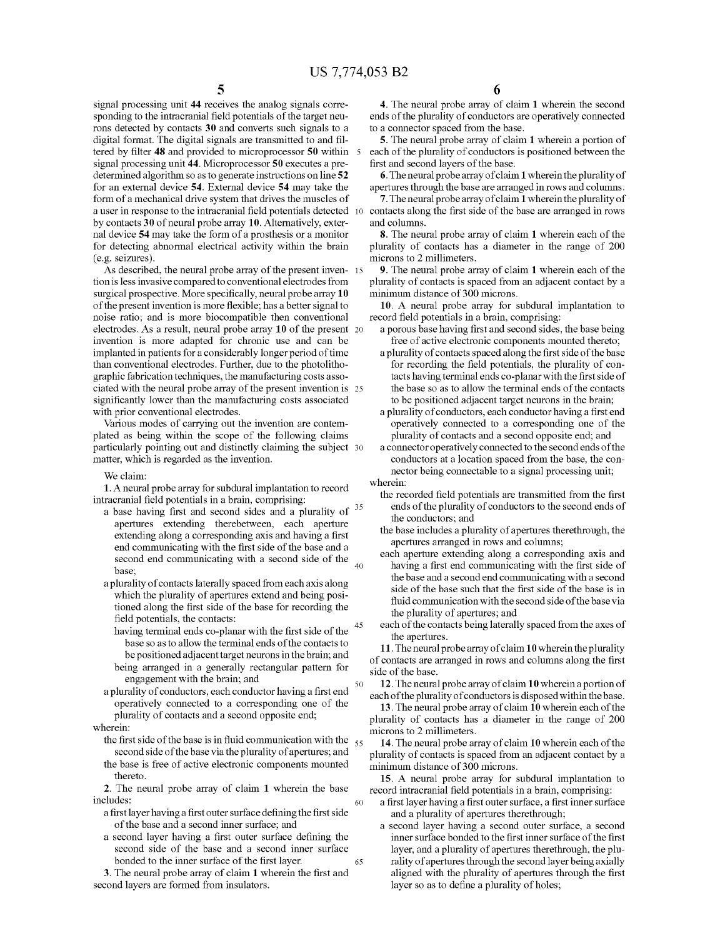50

60

signal processing unit **44** receives the analog signals corresponding to the intracranial field potentials of the target neurons detected by contacts **30** and converts such signals to a digital format. The digital signals are transmitted to and filtered by filter **48** and provided to microprocessor **50** within signal processing unit **44.** Microprocessor **50** executes a predetermined algorithm so as to generate instructions on line **52**  for an external device **54.** External device **54** may take the form of a mechanical drive system that drives the muscles of a user in response to the intracranial field potentials detected by contacts **30** of neural probe array **10.** Alternatively, external device **54** may take the form of a prosthesis or a monitor for detecting abnormal electrical activity within the brain (e.g. seizures).

As described, the neural probe array of the present inven- <sup>15</sup> tion is less invasive compared to conventional electrodes from surgical prospective. More specifically, neural probe array **10**  of the present invention is more flexible; has a better signal to noise ratio; and is more biocompatible then conventional electrodes. As a result, neural probe array **10** of the present 20 invention is more adapted for chronic use and can be implanted in patients for a considerably longer period of time than conventional electrodes. Further, due to the photolithographic fabrication techniques, the manufacturing costs associated with the neural probe array of the present invention is 25 significantly lower than the manufacturing costs associated with prior conventional electrodes.

Various modes of carrying out the invention are contemplated as being within the scope of the following claims particularly pointing out and distinctly claiming the subject 30 matter, which is regarded as the invention.

We claim:

**1.** A neural probe array for subdural implantation to record intracranial field potentials in a brain, comprising:

- a base having first and second sides and a plurality of <sup>35</sup> apertures extending therebetween, each aperture extending along a corresponding axis and having a first end communicating with the first side of the base and a second end communicating with a second side of the base;  $^{20}$
- a plurality of contacts laterally spaced from each axis along which the plurality of apertures extend and being positioned along the first side of the base for recording the field potentials, the contacts:<br>having terminal ends co-planar with the first side of the
	- base so as to allow the terminal ends of the contacts to be positioned adjacent target neurons in the brain; and being arranged in a generally rectangular pattern for
	- engagement with the brain; and
- a plurality of conductors, each conductor having a first end operatively connected to a corresponding one of the plurality of contacts and a second opposite end;
- wherein:
	- the first side of the base is in fluid communication with the  $\frac{55}{55}$ second side of the base via the plurality of apertures; and the base is free of active electronic components mounted
	- thereto. **2.** The neural probe array of claim **1** wherein the base

includes:

- a first layer having a first outer surface defining the first side of the base and a second inner surface; and
- a second layer having a first outer surface defining the second side of the base and a second inner surface bonded to the inner surface of the first layer. 65

**3.** The neural probe array of claim **1** wherein the first and second layers are formed from insulators.

**4.** The neural probe array of claim **1** wherein the second ends of the plurality of conductors are operatively connected to a connector spaced from the base.

**5.** The neural probe array of claim **1** wherein a portion of each of the plurality of conductors is positioned between the first and second layers of the base.

**6.** The neural probe array of claim **1** wherein the plurality of apertures through the base are arranged in rows and columns.

**7.** The neural probe array of claim **1** wherein the plurality of contacts along the first side of the base are arranged in rows and colunms.

**8.** The neural probe array of claim **1** wherein each of the plurality of contacts has a diameter in the range of 200 microns to 2 millimeters.

**9.** The neural probe array of claim **1** wherein each of the plurality of contacts is spaced from an adjacent contact by a minimum distance of 300 microns.

**10.** A neural probe array for subdural implantation to record field potentials in a brain, comprising:

- a porous base having first and second sides, the base being free of active electronic components mounted thereto;
- a plurality of contacts spaced along the first side of the base for recording the field potentials, the plurality of contacts having terminal ends co-planar with the first side of the base so as to allow the terminal ends of the contacts to be positioned adjacent target neurons in the brain;
- a plurality of conductors, each conductor having a first end operatively connected to a corresponding one of the plurality of contacts and a second opposite end; and
- a connector operatively connected to the second ends of the conductors at a location spaced from the base, the connector being connectable to a signal processing unit; wherein:
	- the recorded field potentials are transmitted from the first ends of the plurality of conductors to the second ends of the conductors; and
	- the base includes a plurality of apertures therethrough, the apertures arranged in rows and colunms;
	- each aperture extending along a corresponding axis and having a first end communicating with the first side of the base and a second end communicating with a second side of the base such that the first side of the base is in fluid communication with the second side of the base via the plurality of apertures; and
	- each of the contacts being laterally spaced from the axes of the apertures.

**11.** The neural probe array of claim **10** wherein the plurality of contacts are arranged in rows and colunms along the first side of the base.

**12.** The neural probe array of claim **10** wherein a portion of each of the plurality of conductors is disposed within the base.

**13.** The neural probe array of claim **10** wherein each of the plurality of contacts has a diameter in the range of 200 microns to 2 millimeters.

**14.** The neural probe array of claim **10** wherein each of the plurality of contacts is spaced from an adjacent contact by a minimum distance of 300 microns.

**15.** A neural probe array for subdural implantation to record intracranial field potentials in a brain, comprising:

- a first layer having a first outer surface, a first inner surface and a plurality of apertures therethrough;
- second layer having a second outer surface, a second inner surface bonded to the first inner surface of the first layer, and a plurality of apertures therethrough, the plurality of apertures through the second layer being axially aligned with the plurality of apertures through the first layer so as to define a plurality of holes;